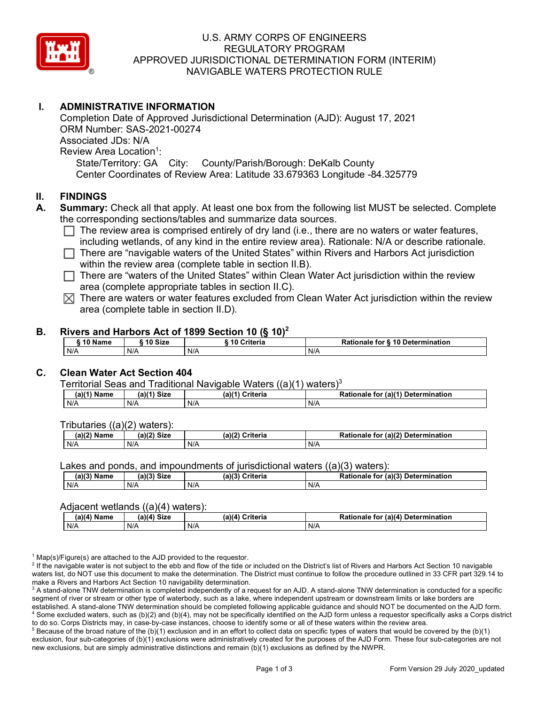

# U.S. ARMY CORPS OF ENGINEERS REGULATORY PROGRAM APPROVED JURISDICTIONAL DETERMINATION FORM (INTERIM) NAVIGABLE WATERS PROTECTION RULE

# **I. ADMINISTRATIVE INFORMATION**

Associated JDs: N/A State/Territory: GA City: County/Parish/Borough: DeKalb County Completion Date of Approved Jurisdictional Determination (AJD): August 17, 2021 ORM Number: SAS-2021-00274 Associated JDs: N/A<br>Review Area Location<sup>1</sup>: Center Coordinates of Review Area: Latitude 33.679363 Longitude -84.325779

## **II. FINDINGS**

- **A. Summary:** Check all that apply. At least one box from the following list MUST be selected. Complete the corresponding sections/tables and summarize data sources.
	- The review area is comprised entirely of dry land (i.e., there are no waters or water features, □ The review area is comprised entirely or dry land (i.e., there are no waters or water reatures,<br>…including wetlands, of any kind in the entire review area). Rationale: N/A or describe rationale.
	- □ There are "navigable waters of the United States" within Rivers and Harbors Act jurisdiction within the review area (complete table in section II.B).
	- □ There are "waters of the United States" within Clean Water Act jurisdiction within the review<br>
	area (complete appropriate tables in costion II G) area (complete appropriate tables in section II.C).
	- $\boxtimes$  There are waters or water features excluded from Clean Water Act jurisdiction within the review area (complete table in section II.D).

### **B. Rivers and Harbors Act of 1899 Section 10 (§ 10)2**

| ີ 10 Name | ົ 10 Size | 10 Criteria | Rationale for § 10 Determination |  |
|-----------|-----------|-------------|----------------------------------|--|
| N/A       | N/A       | N/A         | N/A                              |  |

# **C. Clean Water Act Section 404**

#### Territorial Seas and Traditional Navigable Waters  $((a)(1)$  waters)<sup>3</sup>

| (a)(1) Name | (a)(1)<br><b>Size</b> | $(a)$ <sup><math>(4)</math></sup><br><b>Criteria</b> | $\pi$ (a)( <sup>4)</sup><br>Determination<br>Rationale<br>tor |
|-------------|-----------------------|------------------------------------------------------|---------------------------------------------------------------|
| N/A         | N/A                   | N/A                                                  | N/f                                                           |

#### Tributaries ((a)(2) waters):

| 1001<br>Name | $-1/21$<br>C <sub>1</sub><br>ыzе | (a)/2<br>`riteria | (a)(2)<br>Determination<br>tor<br>nale<br>канс<br>iallOh |
|--------------|----------------------------------|-------------------|----------------------------------------------------------|
| N/A          | N/A                              | N/A               | N/f                                                      |

Lakes and ponds, and impoundments of jurisdictional waters  $((a)(3)$  waters):

| (a)(3) Name | (a)(?')<br>Size | (a)(3) | Criteria | Rationale<br>for $(a)(3)$ | Determination |
|-------------|-----------------|--------|----------|---------------------------|---------------|
| N/A         | N/A             | N/F    |          | N/A                       |               |

#### Adjacent wetlands ((a)(4) waters):

| (a)(4) Name | Size<br>(a)(4) | (a)(4)<br>Criteria | .r (a)(4` ˈ<br>Rationale<br>Determination<br>tor |
|-------------|----------------|--------------------|--------------------------------------------------|
| N/A         | N/A            | N/A                | N/A                                              |

 $1$  Map(s)/Figure(s) are attached to the AJD provided to the requestor.

<sup>2</sup> If the navigable water is not subject to the ebb and flow of the tide or included on the District's list of Rivers and Harbors Act Section 10 navigable waters list, do NOT use this document to make the determination. The District must continue to follow the procedure outlined in 33 CFR part 329.14 to make a Rivers and Harbors Act Section 10 navigability determination.

 segment of river or stream or other type of waterbody, such as a lake, where independent upstream or downstream limits or lake borders are established. A stand-alone TNW determination should be completed following applicable guidance and should NOT be documented on the AJD form.<br><sup>4</sup> Some excluded waters, such as (b)(2) and (b)(4), may not be specifically iden to do so. Corps Districts may, in case-by-case instances, choose to identify some or all of these waters within the review area. <sup>3</sup> A stand-alone TNW determination is completed independently of a request for an AJD. A stand-alone TNW determination is conducted for a specific

to do so. Corps Districts may, in case-by-case instances, choose to identify some or all of these waters within the review area.<br><sup>5</sup> Because of the broad nature of the (b)(1) exclusion and in an effort to collect data on s new exclusions, but are simply administrative distinctions and remain (b)(1) exclusions as defined by the NWPR. exclusion, four sub-categories of (b)(1) exclusions were administratively created for the purposes of the AJD Form. These four sub-categories are not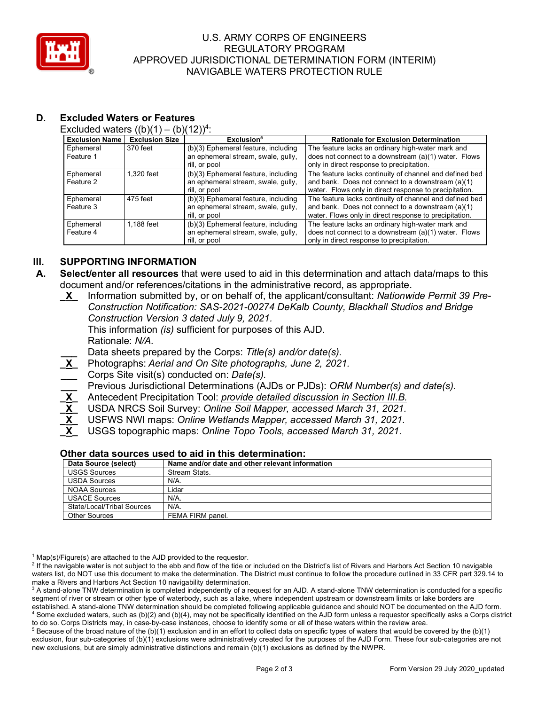

# U.S. ARMY CORPS OF ENGINEERS REGULATORY PROGRAM APPROVED JURISDICTIONAL DETERMINATION FORM (INTERIM) NAVIGABLE WATERS PROTECTION RULE

# **D. Excluded Waters or Features**

Excluded waters  $((b)(1) - (b)(12))^4$ :

| <b>Exclusion Name</b> | ,, ,, ,<br><b>Exclusion Size</b> | Exclusion <sup>5</sup>              | <b>Rationale for Exclusion Determination</b>            |
|-----------------------|----------------------------------|-------------------------------------|---------------------------------------------------------|
| Ephemeral             | 370 feet                         | (b)(3) Ephemeral feature, including | The feature lacks an ordinary high-water mark and       |
| Feature 1             |                                  | an ephemeral stream, swale, gully,  | does not connect to a downstream (a)(1) water. Flows    |
|                       |                                  | rill, or pool                       | only in direct response to precipitation.               |
| Ephemeral             | 1.320 feet                       | (b)(3) Ephemeral feature, including | The feature lacks continuity of channel and defined bed |
| Feature 2             |                                  | an ephemeral stream, swale, gully,  | and bank. Does not connect to a downstream (a)(1)       |
|                       |                                  | rill, or pool                       | water. Flows only in direct response to precipitation.  |
| Ephemeral             | 475 feet                         | (b)(3) Ephemeral feature, including | The feature lacks continuity of channel and defined bed |
| Feature 3             |                                  | an ephemeral stream, swale, gully,  | and bank. Does not connect to a downstream (a)(1)       |
|                       |                                  | rill, or pool                       | water. Flows only in direct response to precipitation.  |
| Ephemeral             | 1.188 feet                       | (b)(3) Ephemeral feature, including | The feature lacks an ordinary high-water mark and       |
| Feature 4             |                                  | an ephemeral stream, swale, gully,  | does not connect to a downstream (a)(1) water. Flows    |
|                       |                                  | rill, or pool                       | only in direct response to precipitation.               |

# **III. SUPPORTING INFORMATION**

- **A. Select/enter all resources** that were used to aid in this determination and attach data/maps to this document and/or references/citations in the administrative record, as appropriate.
	- *Construction Version 3 dated July 9, 2021.*  **\_X\_** Information submitted by, or on behalf of, the applicant/consultant: *Nationwide Permit 39 Pre-Construction Notification: SAS-2021-00274 DeKalb County, Blackhall Studios and Bridge*

 This information *(is)* sufficient for purposes of this AJD. Rationale: *N/A.* 

**\_\_\_** Data sheets prepared by the Corps: *Title(s) and/or date(s).* 

- **\_X\_** Photographs: *Aerial and On Site photographs, June 2, 2021.*
- **\_\_\_** Corps Site visit(s) conducted on: *Date(s).*

**\_\_\_** Previous Jurisdictional Determinations (AJDs or PJDs): *ORM Number(s) and date(s).* 

- **\_X\_** Antecedent Precipitation Tool: *provide detailed discussion in Section III.B.*
- **\_X\_** USDA NRCS Soil Survey: *Online Soil Mapper, accessed March 31, 2021.*
- $\frac{1}{\mathsf{X}}$ **\_X\_** USFWS NWI maps: *Online Wetlands Mapper, accessed March 31, 2021.*

 $\frac{1}{\overline{X}}$ **\_X\_** USGS topographic maps: *Online Topo Tools, accessed March 31, 2021.* 

| Other data sources used to aid in this determination: |  |  |  |
|-------------------------------------------------------|--|--|--|
| Name and/or date and other relevant information       |  |  |  |
| Stream Stats.                                         |  |  |  |
| N/A.                                                  |  |  |  |
| Lidar                                                 |  |  |  |
| N/A.                                                  |  |  |  |
| $N/A$ .                                               |  |  |  |
| FEMA FIRM panel.                                      |  |  |  |
|                                                       |  |  |  |

 $1$  Map(s)/Figure(s) are attached to the AJD provided to the requestor.

<sup>2</sup> If the navigable water is not subject to the ebb and flow of the tide or included on the District's list of Rivers and Harbors Act Section 10 navigable waters list, do NOT use this document to make the determination. The District must continue to follow the procedure outlined in 33 CFR part 329.14 to make a Rivers and Harbors Act Section 10 navigability determination.

to do so. Corps Districts may, in case-by-case instances, choose to identify some or all of these waters within the review area.<br><sup>5</sup> Because of the broad nature of the (b)(1) exclusion and in an effort to collect data on s new exclusions, but are simply administrative distinctions and remain (b)(1) exclusions as defined by the NWPR. exclusion, four sub-categories of (b)(1) exclusions were administratively created for the purposes of the AJD Form. These four sub-categories are not

 segment of river or stream or other type of waterbody, such as a lake, where independent upstream or downstream limits or lake borders are established. A stand-alone TNW determination should be completed following applicable guidance and should NOT be documented on the AJD form.<br><sup>4</sup> Some excluded waters, such as (b)(2) and (b)(4), may not be specifically iden to do so. Corps Districts may, in case-by-case instances, choose to identify some or all of these waters within the review area. <sup>3</sup> A stand-alone TNW determination is completed independently of a request for an AJD. A stand-alone TNW determination is conducted for a specific